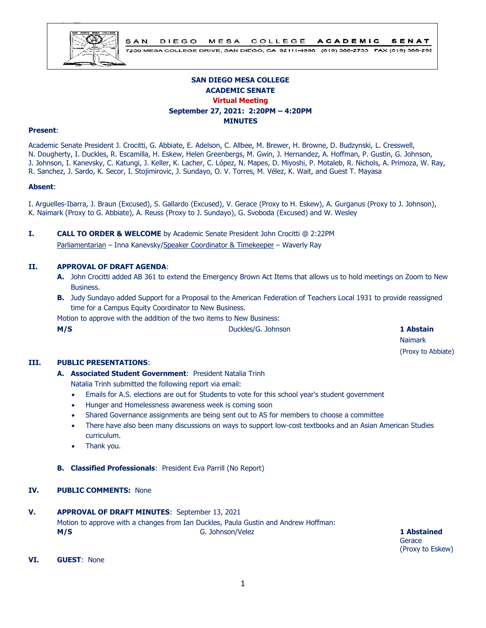

7250 MESA COLLEGE DRIVE, SAN DIEGO, CA 92111-4998 (619) 388-2733 FAX (619) 388-292

# **SAN DIEGO MESA COLLEGE ACADEMIC SENATE Virtual Meeting September 27, 2021: 2:20PM – 4:20PM MINUTES**

#### **Present**:

Academic Senate President J. Crocitti, G. Abbiate, E. Adelson, C. Allbee, M. Brewer, H. Browne, D. Budzynski, L. Cresswell, N. Dougherty, I. Duckles, R. Escamilla, H. Eskew, Helen Greenbergs, M. Gwin, J. Hernandez, A. Hoffman, P. Gustin, G. Johnson, J. Johnson, I. Kanevsky, C. Katungi, J. Keller, K. Lacher, C. López, N. Mapes, D. Miyoshi, P. Motaleb, R. Nichols, A. Primoza, W. Ray, R. Sanchez, J. Sardo, K. Secor, I. Stojimirovic, J. Sundayo, O. V. Torres, M. Vélez, K. Wait, and Guest T. Mayasa

#### **Absent**:

I. Arguelles-Ibarra, J. Braun (Excused), S. Gallardo (Excused), V. Gerace (Proxy to H. Eskew), A. Gurganus (Proxy to J. Johnson), K. Naimark (Proxy to G. Abbiate), A. Reuss (Proxy to J. Sundayo), G. Svoboda (Excused) and W. Wesley

## **I. CALL TO ORDER & WELCOME** by Academic Senate President John Crocitti @ 2:22PM

Parliamentarian – Inna Kanevsky/Speaker Coordinator & Timekeeper – Waverly Ray

#### **II. APPROVAL OF DRAFT AGENDA**:

- **A.** John Crocitti added AB 361 to extend the Emergency Brown Act Items that allows us to hold meetings on Zoom to New Business.
- **B.** Judy Sundayo added Support for a Proposal to the American Federation of Teachers Local 1931 to provide reassigned time for a Campus Equity Coordinator to New Business.

Motion to approve with the addition of the two items to New Business:

**M/S Duckles/G. Johnson 1 Abstain** 

Naimark (Proxy to Abbiate)

#### **III. PUBLIC PRESENTATIONS**:

- **A. Associated Student Government**: President Natalia Trinh Natalia Trinh submitted the following report via email:
	- Emails for A.S. elections are out for Students to vote for this school year's student government
	- Hunger and Homelessness awareness week is coming soon
	- Shared Governance assignments are being sent out to AS for members to choose a committee
	- There have also been many discussions on ways to support low-cost textbooks and an Asian American Studies curriculum.
	- Thank you.
- **B. Classified Professionals**: President Eva Parrill (No Report)

#### **IV. PUBLIC COMMENTS:** None

**V. APPROVAL OF DRAFT MINUTES**: September 13, 2021 Motion to approve with a changes from Ian Duckles, Paula Gustin and Andrew Hoffman: **M/S** G. Johnson/Velez **1 Abstained**

**Gerace** (Proxy to Eskew)

**VI. GUEST**: None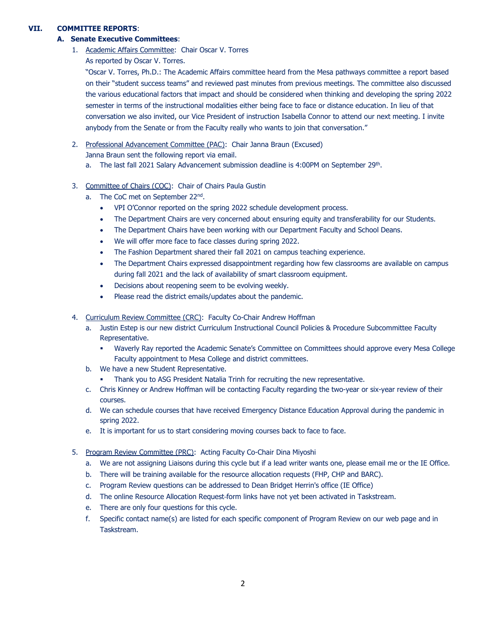# **VII. COMMITTEE REPORTS**:

## **A. Senate Executive Committees**:

- 1. Academic Affairs Committee: Chair Oscar V. Torres
	- As reported by Oscar V. Torres.

"Oscar V. Torres, Ph.D.: The Academic Affairs committee heard from the Mesa pathways committee a report based on their "student success teams" and reviewed past minutes from previous meetings. The committee also discussed the various educational factors that impact and should be considered when thinking and developing the spring 2022 semester in terms of the instructional modalities either being face to face or distance education. In lieu of that conversation we also invited, our Vice President of instruction Isabella Connor to attend our next meeting. I invite anybody from the Senate or from the Faculty really who wants to join that conversation."

- 2. Professional Advancement Committee (PAC): Chair Janna Braun (Excused)
	- Janna Braun sent the following report via email.
	- a. The last fall 2021 Salary Advancement submission deadline is 4:00PM on September 29<sup>th</sup>.
- 3. Committee of Chairs (COC): Chair of Chairs Paula Gustin
	- a. The CoC met on September 22<sup>nd</sup>.
		- VPI O'Connor reported on the spring 2022 schedule development process.
		- The Department Chairs are very concerned about ensuring equity and transferability for our Students.
		- The Department Chairs have been working with our Department Faculty and School Deans.
		- We will offer more face to face classes during spring 2022.
		- The Fashion Department shared their fall 2021 on campus teaching experience.
		- The Department Chairs expressed disappointment regarding how few classrooms are available on campus during fall 2021 and the lack of availability of smart classroom equipment.
		- Decisions about reopening seem to be evolving weekly.
		- Please read the district emails/updates about the pandemic.
- 4. Curriculum Review Committee (CRC): Faculty Co-Chair Andrew Hoffman
	- a. Justin Estep is our new district Curriculum Instructional Council Policies & Procedure Subcommittee Faculty Representative.
		- Waverly Ray reported the Academic Senate's Committee on Committees should approve every Mesa College Faculty appointment to Mesa College and district committees.
	- b. We have a new Student Representative.
		- Thank you to ASG President Natalia Trinh for recruiting the new representative.
	- c. Chris Kinney or Andrew Hoffman will be contacting Faculty regarding the two-year or six-year review of their courses.
	- d. We can schedule courses that have received Emergency Distance Education Approval during the pandemic in spring 2022.
	- e. It is important for us to start considering moving courses back to face to face.
- 5. Program Review Committee (PRC): Acting Faculty Co-Chair Dina Miyoshi
	- a. We are not assigning Liaisons during this cycle but if a lead writer wants one, please email me or the IE Office.
	- b. There will be training available for the resource allocation requests (FHP, CHP and BARC).
	- c. Program Review questions can be addressed to Dean Bridget Herrin's office (IE Office)
	- d. The online Resource Allocation Request-form links have not yet been activated in Taskstream.
	- e. There are only four questions for this cycle.
	- f. Specific contact name(s) are listed for each specific component of Program Review on our web page and in Taskstream.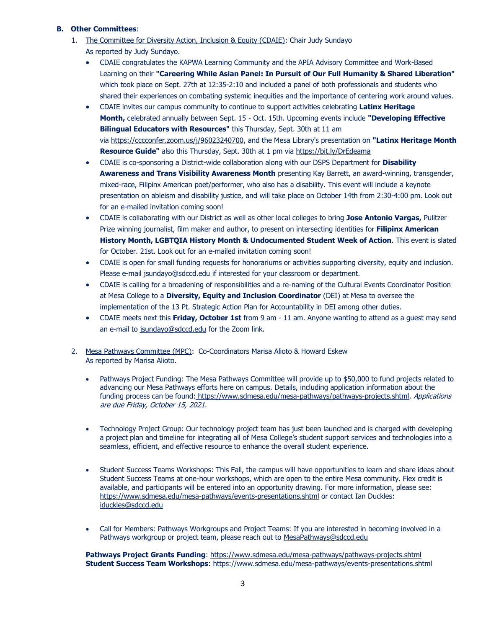#### **B. Other Committees**:

- 1. The Committee for Diversity Action, Inclusion & Equity (CDAIE): Chair Judy Sundayo As reported by Judy Sundayo.
	- CDAIE congratulates the KAPWA Learning Community and the APIA Advisory Committee and Work-Based Learning on their **"Careering While Asian Panel: In Pursuit of Our Full Humanity & Shared Liberation"**  which took place on Sept. 27th at 12:35-2:10 and included a panel of both professionals and students who shared their experiences on combating systemic inequities and the importance of centering work around values.
	- CDAIE invites our campus community to continue to support activities celebrating **Latinx Heritage Month,** celebrated annually between Sept. 15 - Oct. 15th. Upcoming events include **"Developing Effective Bilingual Educators with Resources"** this Thursday, Sept. 30th at 11 am via [https://cccconfer.zoom.us/j/96023240700,](https://cccconfer.zoom.us/j/96023240700) and the Mesa Library's presentation on **"Latinx Heritage Month Resource Guide"** also this Thursday, Sept. 30th at 1 pm via <https://bit.ly/DrEdeama>
	- CDAIE is co-sponsoring a District-wide collaboration along with our DSPS Department for **Disability Awareness and Trans Visibility Awareness Month** presenting Kay Barrett, an award-winning, transgender, mixed-race, Filipinx American poet/performer, who also has a disability. This event will include a keynote presentation on ableism and disability justice, and will take place on October 14th from 2:30-4:00 pm. Look out for an e-mailed invitation coming soon!
	- CDAIE is collaborating with our District as well as other local colleges to bring **Jose Antonio Vargas,** Pulitzer Prize winning journalist, film maker and author, to present on intersecting identities for **Filipinx American History Month, LGBTQIA History Month & Undocumented Student Week of Action**. This event is slated for October. 21st. Look out for an e-mailed invitation coming soon!
	- CDAIE is open for small funding requests for honorariums or activities supporting diversity, equity and inclusion. Please e-mail [jsundayo@sdccd.edu](mailto:jsundayo@sdccd.edu) if interested for your classroom or department.
	- CDAIE is calling for a broadening of responsibilities and a re-naming of the Cultural Events Coordinator Position at Mesa College to a **Diversity, Equity and Inclusion Coordinator** (DEI) at Mesa to oversee the implementation of the 13 Pt. Strategic Action Plan for Accountability in DEI among other duties.
	- CDAIE meets next this **Friday, October 1st** from 9 am 11 am. Anyone wanting to attend as a guest may send an e-mail to [jsundayo@sdccd.edu](mailto:jsundayo@sdccd.edu) for the Zoom link.
- 2. Mesa Pathways Committee (MPC): Co-Coordinators Marisa Alioto & Howard Eskew As reported by Marisa Alioto.
	- Pathways Project Funding: The Mesa Pathways Committee will provide up to \$50,000 to fund projects related to advancing our Mesa Pathways efforts here on campus. Details, including application information about the funding process can be found: [https://www.sdmesa.edu/mesa-pathways/pathways-projects.shtml.](https://www.sdmesa.edu/mesa-pathways/pathways-projects.shtml) Applications are due Friday, October 15, 2021.
	- Technology Project Group: Our technology project team has just been launched and is charged with developing a project plan and timeline for integrating all of Mesa College's student support services and technologies into a seamless, efficient, and effective resource to enhance the overall student experience.
	- Student Success Teams Workshops: This Fall, the campus will have opportunities to learn and share ideas about Student Success Teams at one-hour workshops, which are open to the entire Mesa community. Flex credit is available, and participants will be entered into an opportunity drawing. For more information, please see: <https://www.sdmesa.edu/mesa-pathways/events-presentations.shtml> or contact Ian Duckles: [iduckles@sdccd.edu](mailto:iduckles@sdccd.edu)
	- Call for Members: Pathways Workgroups and Project Teams: If you are interested in becoming involved in a Pathways workgroup or project team, please reach out to [MesaPathways@sdccd.edu](mailto:MesaPathways@sdccd.edu)

**Pathways Project Grants Funding**:<https://www.sdmesa.edu/mesa-pathways/pathways-projects.shtml> **Student Success Team Workshops**:<https://www.sdmesa.edu/mesa-pathways/events-presentations.shtml>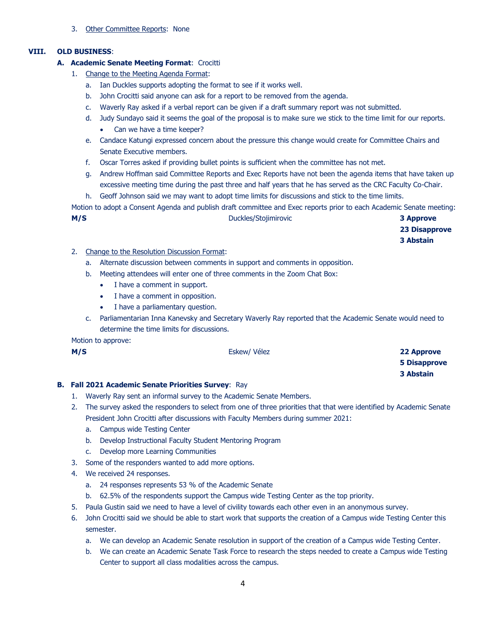3. Other Committee Reports: None

## **VIII. OLD BUSINESS**:

## **A. Academic Senate Meeting Format**: Crocitti

- 1. Change to the Meeting Agenda Format:
	- a. Ian Duckles supports adopting the format to see if it works well.
	- b. John Crocitti said anyone can ask for a report to be removed from the agenda.
	- c. Waverly Ray asked if a verbal report can be given if a draft summary report was not submitted.
	- d. Judy Sundayo said it seems the goal of the proposal is to make sure we stick to the time limit for our reports. • Can we have a time keeper?
	- e. Candace Katungi expressed concern about the pressure this change would create for Committee Chairs and Senate Executive members.
	- f. Oscar Torres asked if providing bullet points is sufficient when the committee has not met.
	- g. Andrew Hoffman said Committee Reports and Exec Reports have not been the agenda items that have taken up excessive meeting time during the past three and half years that he has served as the CRC Faculty Co-Chair.
	- h. Geoff Johnson said we may want to adopt time limits for discussions and stick to the time limits.

Motion to adopt a Consent Agenda and publish draft committee and Exec reports prior to each Academic Senate meeting: **M/S** Duckles/Stojimirovic **3 Approve**

**23 Disapprove 3 Abstain**

- 2. Change to the Resolution Discussion Format:
	- a. Alternate discussion between comments in support and comments in opposition.
	- b. Meeting attendees will enter one of three comments in the Zoom Chat Box:
		- I have a comment in support.
		- I have a comment in opposition.
		- I have a parliamentary question.
	- c. Parliamentarian Inna Kanevsky and Secretary Waverly Ray reported that the Academic Senate would need to determine the time limits for discussions.

Motion to approve:

| M/S | Eskew/ Vélez | 22 Approve          |
|-----|--------------|---------------------|
|     |              | <b>5 Disapprove</b> |
|     |              | 3 Abstain           |

#### **B. Fall 2021 Academic Senate Priorities Survey**: Ray

- 1. Waverly Ray sent an informal survey to the Academic Senate Members.
- 2. The survey asked the responders to select from one of three priorities that that were identified by Academic Senate President John Crocitti after discussions with Faculty Members during summer 2021:
	- a. Campus wide Testing Center
	- b. Develop Instructional Faculty Student Mentoring Program
	- c. Develop more Learning Communities
- 3. Some of the responders wanted to add more options.
- 4. We received 24 responses.
	- a. 24 responses represents 53 % of the Academic Senate
	- b. 62.5% of the respondents support the Campus wide Testing Center as the top priority.
- 5. Paula Gustin said we need to have a level of civility towards each other even in an anonymous survey.
- 6. John Crocitti said we should be able to start work that supports the creation of a Campus wide Testing Center this semester.
	- a. We can develop an Academic Senate resolution in support of the creation of a Campus wide Testing Center.
	- b. We can create an Academic Senate Task Force to research the steps needed to create a Campus wide Testing Center to support all class modalities across the campus.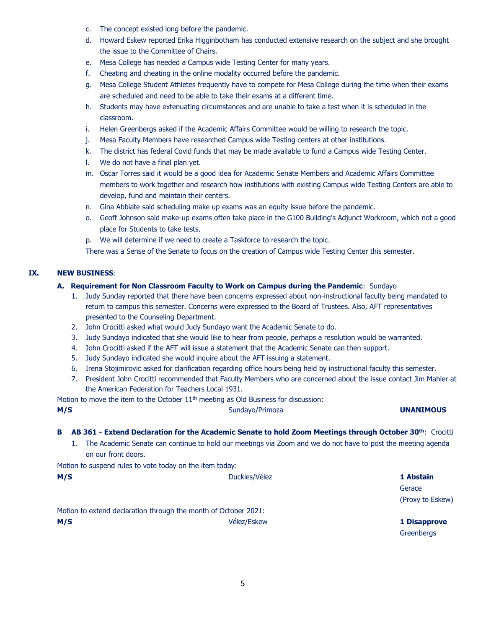- c. The concept existed long before the pandemic.
- d. Howard Eskew reported Erika Higginbotham has conducted extensive research on the subject and she brought the issue to the Committee of Chairs.
- e. Mesa College has needed a Campus wide Testing Center for many years.
- f. Cheating and cheating in the online modality occurred before the pandemic.
- g. Mesa College Student Athletes frequently have to compete for Mesa College during the time when their exams are scheduled and need to be able to take their exams at a different time.
- h. Students may have extenuating circumstances and are unable to take a test when it is scheduled in the classroom.
- i. Helen Greenbergs asked if the Academic Affairs Committee would be willing to research the topic.
- j. Mesa Faculty Members have researched Campus wide Testing centers at other institutions.
- k. The district has federal Covid funds that may be made available to fund a Campus wide Testing Center.
- l. We do not have a final plan yet.
- m. Oscar Torres said it would be a good idea for Academic Senate Members and Academic Affairs Committee members to work together and research how institutions with existing Campus wide Testing Centers are able to develop, fund and maintain their centers.
- n. Gina Abbiate said scheduling make up exams was an equity issue before the pandemic.
- o. Geoff Johnson said make-up exams often take place in the G100 Building's Adjunct Workroom, which not a good place for Students to take tests.
- p. We will determine if we need to create a Taskforce to research the topic.

There was a Sense of the Senate to focus on the creation of Campus wide Testing Center this semester.

## **IX. NEW BUSINESS**:

## **A. Requirement for Non Classroom Faculty to Work on Campus during the Pandemic**: Sundayo

- 1. Judy Sunday reported that there have been concerns expressed about non-instructional faculty being mandated to return to campus this semester. Concerns were expressed to the Board of Trustees. Also, AFT representatives presented to the Counseling Department.
- 2. John Crocitti asked what would Judy Sundayo want the Academic Senate to do.
- 3. Judy Sundayo indicated that she would like to hear from people, perhaps a resolution would be warranted.
- 4. John Crocitti asked if the AFT will issue a statement that the Academic Senate can then support.
- 5. Judy Sundayo indicated she would inquire about the AFT issuing a statement.
- 6. Irena Stojimirovic asked for clarification regarding office hours being held by instructional faculty this semester.
- 7. President John Crocitti recommended that Faculty Members who are concerned about the issue contact Jim Mahler at the American Federation for Teachers Local 1931.

Motion to move the item to the October  $11<sup>th</sup>$  meeting as Old Business for discussion:

| M/S                                                      | Sundayo/Primoza                                                                                                                                                                                                          | <b>UNANIMOUS</b>    |
|----------------------------------------------------------|--------------------------------------------------------------------------------------------------------------------------------------------------------------------------------------------------------------------------|---------------------|
| в<br>1.<br>on our front doors.                           | AB 361 - Extend Declaration for the Academic Senate to hold Zoom Meetings through October 30th: Crocitti<br>The Academic Senate can continue to hold our meetings via Zoom and we do not have to post the meeting agenda |                     |
| Motion to suspend rules to vote today on the item today: |                                                                                                                                                                                                                          |                     |
| M/S                                                      | Duckles/Vélez                                                                                                                                                                                                            | 1 Abstain           |
|                                                          |                                                                                                                                                                                                                          | Gerace              |
|                                                          |                                                                                                                                                                                                                          | (Proxy to Eskew)    |
|                                                          | Motion to extend declaration through the month of October 2021:                                                                                                                                                          |                     |
| M/S                                                      | Vélez/Eskew                                                                                                                                                                                                              | <b>1 Disapprove</b> |
|                                                          |                                                                                                                                                                                                                          | Greenbergs          |